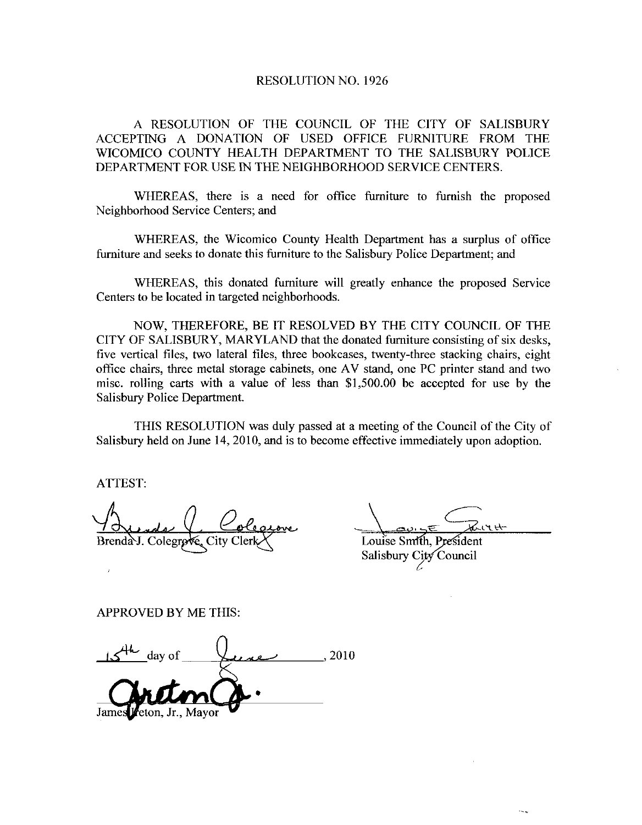## RESOLUTION NO. 1926

A RESOLUTION OF THE COUNCIL OF THE CITY OF SALISBURY ACCEPTING A DONATION OF USED OFFICE FURNITURE FROM THE WICOMICO COUNTY HEALTH DEPARTMENT TO THE SALISBURY POLICE DEPARTMENT FOR USE IN THE NEIGHBORHOOD SERVICE CENTERS

WHEREAS, there is a need for office furniture to furnish the proposed Neighborhood Service Centers; and

WHEREAS, the Wicomico County Health Department has a surplus of office furniture and seeks to donate this furniture to the Salisbury Police Department; and

WHEREAS, this donated furniture will greatly enhance the proposed Service Centers to be located in targeted neighborhoods

NOW, THEREFORE, BE IT RESOLVED BY THE CITY COUNCIL OF THE CITY OF SALISBURY, MARYLAND that the donated furniture consisting of six desks, five vertical files, two lateral files, three bookcases, twenty-three stacking chairs, eight office chairs, three metal storage cabinets, one AV stand, one PC printer stand and two misc. rolling carts with a value of less than \$1,500.00 be accepted for use by the Salisbury Police Department

THIS RESOLUTION was duly passed at a meeting of the Council of the City of Salisbury held on June 14, 2010, and is to become effective immediately upon adoption.

ATTEST

Brenda J. Colegrove, City Clerl

<u>avigE</u> Kirt

Louise Smith, President Salisbury City Council

APPROVED BY ME THIS

PPROVED BY ME THIS:<br> $\frac{154\epsilon}{\epsilon}$  day of  $\epsilon$  2010 Jr., Mayor